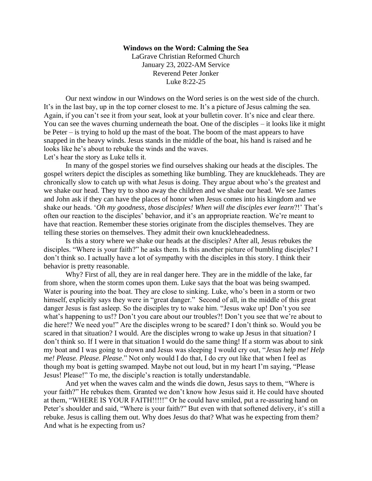## **Windows on the Word: Calming the Sea**

LaGrave Christian Reformed Church January 23, 2022-AM Service Reverend Peter Jonker Luke 8:22-25

Our next window in our Windows on the Word series is on the west side of the church. It's in the last bay, up in the top corner closest to me. It's a picture of Jesus calming the sea. Again, if you can't see it from your seat, look at your bulletin cover. It's nice and clear there. You can see the waves churning underneath the boat. One of the disciples – it looks like it might be Peter – is trying to hold up the mast of the boat. The boom of the mast appears to have snapped in the heavy winds. Jesus stands in the middle of the boat, his hand is raised and he looks like he's about to rebuke the winds and the waves. Let's hear the story as Luke tells it.

In many of the gospel stories we find ourselves shaking our heads at the disciples. The gospel writers depict the disciples as something like bumbling. They are knuckleheads. They are chronically slow to catch up with what Jesus is doing. They argue about who's the greatest and we shake our head. They try to shoo away the children and we shake our head. We see James and John ask if they can have the places of honor when Jesus comes into his kingdom and we shake our heads. '*Oh my goodness, those disciples! When will the disciples ever learn*?!' That's often our reaction to the disciples' behavior, and it's an appropriate reaction. We're meant to have that reaction. Remember these stories originate from the disciples themselves. They are telling these stories on themselves. They admit their own knuckleheadedness.

Is this a story where we shake our heads at the disciples? After all, Jesus rebukes the disciples. "Where is your faith?" he asks them. Is this another picture of bumbling disciples? I don't think so. I actually have a lot of sympathy with the disciples in this story. I think their behavior is pretty reasonable.

Why? First of all, they are in real danger here. They are in the middle of the lake, far from shore, when the storm comes upon them. Luke says that the boat was being swamped. Water is pouring into the boat. They are close to sinking. Luke, who's been in a storm or two himself, explicitly says they were in "great danger." Second of all, in the middle of this great danger Jesus is fast asleep. So the disciples try to wake him. "Jesus wake up! Don't you see what's happening to us!? Don't you care about our troubles?! Don't you see that we're about to die here!? We need you!" Are the disciples wrong to be scared? I don't think so. Would you be scared in that situation? I would. Are the disciples wrong to wake up Jesus in that situation? I don't think so. If I were in that situation I would do the same thing! If a storm was about to sink my boat and I was going to drown and Jesus was sleeping I would cry out, "*Jesus help me! Help me! Please. Please. Please*." Not only would I do that, I do cry out like that when I feel as though my boat is getting swamped. Maybe not out loud, but in my heart I'm saying, "Please Jesus! Please!" To me, the disciple's reaction is totally understandable.

And yet when the waves calm and the winds die down, Jesus says to them, "Where is your faith?" He rebukes them. Granted we don't know how Jesus said it. He could have shouted at them, "WHERE IS YOUR FAITH!!!!!" Or he could have smiled, put a re-assuring hand on Peter's shoulder and said, "Where is your faith?" But even with that softened delivery, it's still a rebuke. Jesus is calling them out. Why does Jesus do that? What was he expecting from them? And what is he expecting from us?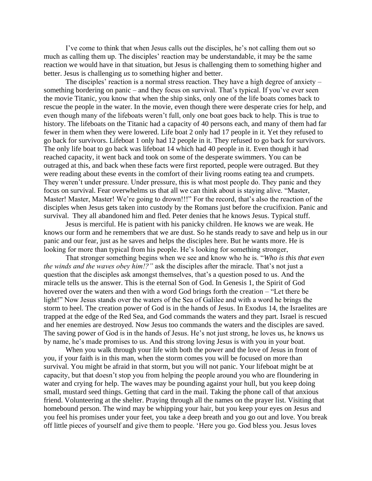I've come to think that when Jesus calls out the disciples, he's not calling them out so much as calling them up. The disciples' reaction may be understandable, it may be the same reaction we would have in that situation, but Jesus is challenging them to something higher and better. Jesus is challenging *us* to something higher and better.

The disciples' reaction is a normal stress reaction. They have a high degree of anxiety – something bordering on panic – and they focus on survival. That's typical. If you've ever seen the movie Titanic, you know that when the ship sinks, only one of the life boats comes back to rescue the people in the water. In the movie, even though there were desperate cries for help, and even though many of the lifeboats weren't full, only one boat goes back to help. This is true to history. The lifeboats on the Titanic had a capacity of 40 persons each, and many of them had far fewer in them when they were lowered. Life boat 2 only had 17 people in it. Yet they refused to go back for survivors. Lifeboat 1 only had 12 people in it. They refused to go back for survivors. The only life boat to go back was lifeboat 14 which had 40 people in it. Even though it had reached capacity, it went back and took on some of the desperate swimmers. You can be outraged at this, and back when these facts were first reported, people were outraged. But they were reading about these events in the comfort of their living rooms eating tea and crumpets. They weren't under pressure. Under pressure, this is what most people do. They panic and they focus on survival. Fear overwhelms us that all we can think about is staying alive. "Master, Master! Master, Master! We're going to drown!!!" For the record, that's also the reaction of the disciples when Jesus gets taken into custody by the Romans just before the crucifixion. Panic and survival. They all abandoned him and fled. Peter denies that he knows Jesus. Typical stuff.

Jesus is merciful. He is patient with his panicky children. He knows we are weak. He knows our form and he remembers that we are dust. So he stands ready to save and help us in our panic and our fear, just as he saves and helps the disciples here. But he wants more. He is looking for more than typical from his people. He's looking for something stronger,

That stronger something begins when we see and know who he is. "*Who is this that even the winds and the waves obey him!?"* ask the disciples after the miracle. That's not just a question that the disciples ask amongst themselves, that's a question posed to us. And the miracle tells us the answer. This is the eternal Son of God. In Genesis 1, the Spirit of God hovered over the waters and then with a word God brings forth the creation – "Let there be light!" Now Jesus stands over the waters of the Sea of Galilee and with a word he brings the storm to heel. The creation power of God is in the hands of Jesus. In Exodus 14, the Israelites are trapped at the edge of the Red Sea, and God commands the waters and they part. Israel is rescued and her enemies are destroyed. Now Jesus too commands the waters and the disciples are saved. The saving power of God is in the hands of Jesus. He's not just strong, he loves us, he knows us by name, he's made promises to us. And this strong loving Jesus is with you in your boat.

When you walk through your life with both the power and the love of Jesus in front of you, if your faith is in this man, when the storm comes you will be focused on more than survival. You might be afraid in that storm, but you will not panic. Your lifeboat might be at capacity, but that doesn't stop you from helping the people around you who are floundering in water and crying for help. The waves may be pounding against your hull, but you keep doing small, mustard seed things. Getting that card in the mail. Taking the phone call of that anxious friend. Volunteering at the shelter. Praying through all the names on the prayer list. Visiting that homebound person. The wind may be whipping your hair, but you keep your eyes on Jesus and you feel his promises under your feet, you take a deep breath and you go out and love. You break off little pieces of yourself and give them to people. 'Here you go. God bless you. Jesus loves